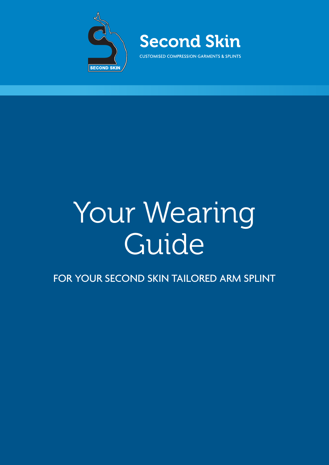



## Your Wearing Guide

FOR YOUR SECOND SKIN TAILORED ARM SPLINT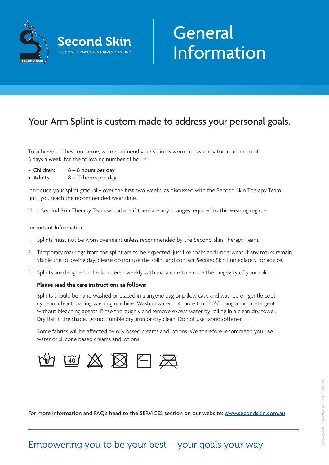

# Information

## Your Arm Splint is custom made to address your personal goals.

To achieve the best outcome, we recommend your splint is worn consistently for a minimum of 5 days a week, for the following number of hours:

- Children: 6 8 hours per day
- Adults: 8 10 hours per day

Introduce your splint gradually over the first two weeks, as discussed with the Second Skin Therapy Team, until you reach the recommended wear time.

Your Second Skin Therapy Team will advise if there are any changes required to this wearing regime.

#### Important Information

- 1. Splints must not be worn overnight unless recommended by the Second Skin Therapy Team.
- 2. Temporary markings from the splint are to be expected, just like socks and underwear. If any marks remain visible the following day, please do not use the splint and contact Second Skin immediately for advice.
- 3. Splints are designed to be laundered weekly with extra care to ensure the longevity of your splint.

#### **Please read the care instructions as follows:**

Splints should be hand washed or placed in a lingerie bag or pillow case and washed on gentle cool cycle in a front loading washing machine. Wash in water not more than 40°C using a mild detergent without bleaching agents. Rinse thoroughly and remove excess water by rolling in a clean dry towel. Dry flat in the shade. Do not tumble dry, iron or dry clean. Do not use fabric softener.

Some fabrics will be affected by oily based creams and lotions. We therefore recommend you use water or silicone based creams and lotions.



For more information and FAQ's head to the SERVICES section on our website: [www.secondskin.com.au](https://www.secondskin.com.au/services/neurological_splints_faqs)

## Empowering you to be your best – your goals your way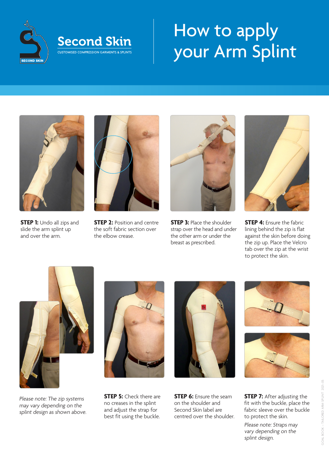

## $\mathbb{Z}$  Second Skin  $\mathbb{Z}$  Flow to apply  $\text{F}_{\text{F}_{\text{COMISED}}}\left( \text{CUSTOMISED COMPRESSION GARMENTS & SPLINTS}\right)$  your Arm Splint How to apply your Arm Splint



**STEP 1:** Undo all zips and slide the arm splint up and over the arm.



**STEP 2: Position and centre** the soft fabric section over the elbow crease.



**STEP 3: Place the shoulder** strap over the head and under the other arm or under the breast as prescribed.



**STEP 4: Ensure the fabric** lining behind the zip is flat against the skin before doing the zip up. Place the Velcro tab over the zip at the wrist to protect the skin.



Please note: The zip systems may vary depending on the splint design as shown above.



**STEP 5:** Check there are no creases in the splint and adjust the strap for best fit using the buckle.



**STEP 6:** Fnsure the seam on the shoulder and Second Skin label are centred over the shoulder.





**STEP 7:** After adjusting the fit with the buckle, place the fabric sleeve over the buckle to protect the skin.

Please note: Straps may vary depending on the splint design.